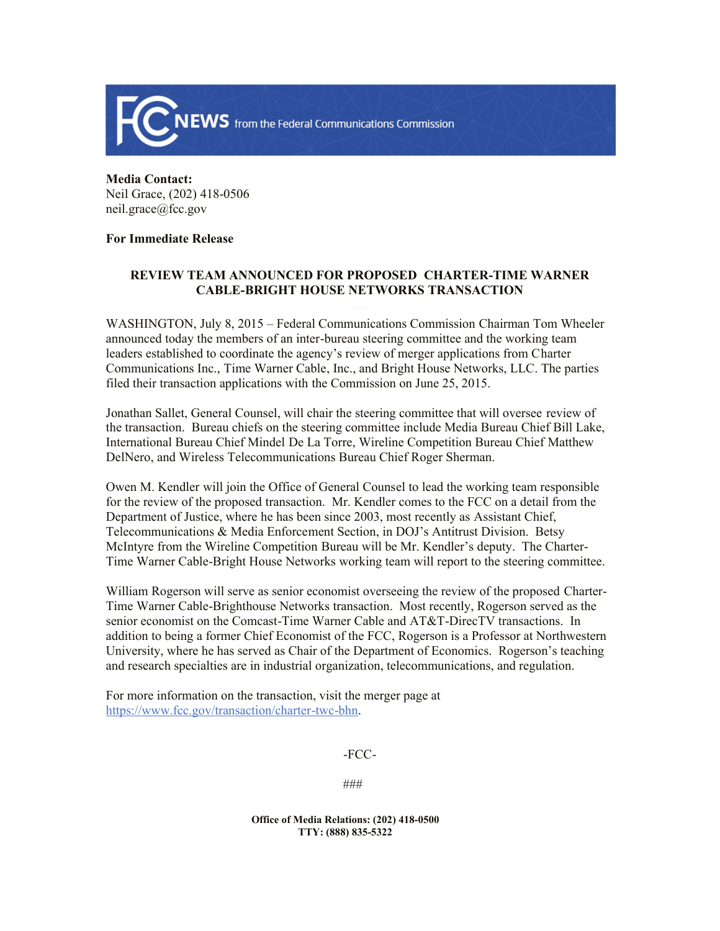

## **Media Contact:**  Neil Grace, (202) 418-0506 neil.grace@fcc.gov

## **For Immediate Release**

## **REVIEW TEAM ANNOUNCED FOR PROPOSED CHARTER-TIME WARNER CABLE-BRIGHT HOUSE NETWORKS TRANSACTION**

WASHINGTON, July 8, 2015 – Federal Communications Commission Chairman Tom Wheeler announced today the members of an inter-bureau steering committee and the working team leaders established to coordinate the agency's review of merger applications from Charter Communications Inc., Time Warner Cable, Inc., and Bright House Networks, LLC. The parties filed their transaction applications with the Commission on June 25, 2015.

Jonathan Sallet, General Counsel, will chair the steering committee that will oversee review of the transaction. Bureau chiefs on the steering committee include Media Bureau Chief Bill Lake, International Bureau Chief Mindel De La Torre, Wireline Competition Bureau Chief Matthew DelNero, and Wireless Telecommunications Bureau Chief Roger Sherman.

Owen M. Kendler will join the Office of General Counsel to lead the working team responsible for the review of the proposed transaction. Mr. Kendler comes to the FCC on a detail from the Department of Justice, where he has been since 2003, most recently as Assistant Chief, Telecommunications & Media Enforcement Section, in DOJ's Antitrust Division. Betsy McIntyre from the Wireline Competition Bureau will be Mr. Kendler's deputy. The Charter-Time Warner Cable-Bright House Networks working team will report to the steering committee.

William Rogerson will serve as senior economist overseeing the review of the proposed Charter-Time Warner Cable-Brighthouse Networks transaction. Most recently, Rogerson served as the senior economist on the Comcast-Time Warner Cable and AT&T-DirecTV transactions. In addition to being a former Chief Economist of the FCC, Rogerson is a Professor at Northwestern University, where he has served as Chair of the Department of Economics. Rogerson's teaching and research specialties are in industrial organization, telecommunications, and regulation.

For more information on the transaction, visit the merger page at https://www.fcc.gov/transaction/charter-twc-bhn.

-FCC-

###

**Office of Media Relations: (202) 418-0500 TTY: (888) 835-5322**